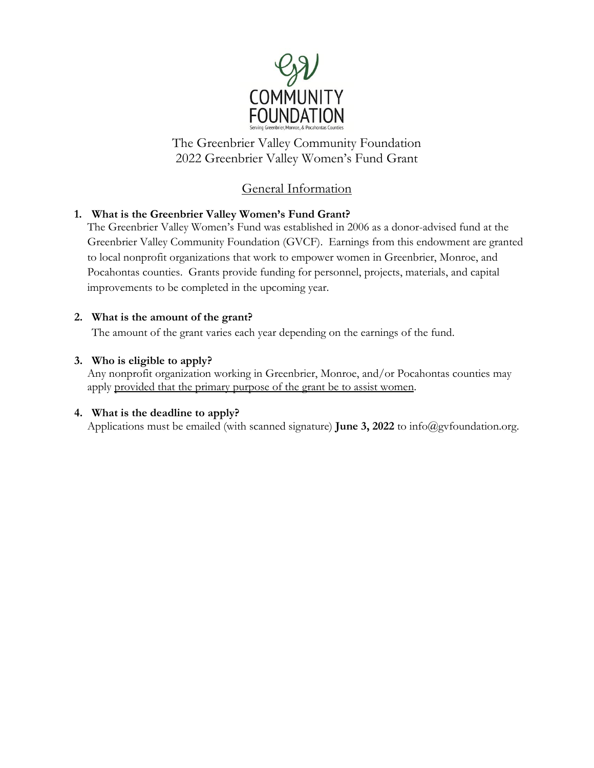

The Greenbrier Valley Community Foundation 2022 Greenbrier Valley Women's Fund Grant

## General Information

## **1. What is the Greenbrier Valley Women's Fund Grant?**

The Greenbrier Valley Women's Fund was established in 2006 as a donor-advised fund at the Greenbrier Valley Community Foundation (GVCF). Earnings from this endowment are granted to local nonprofit organizations that work to empower women in Greenbrier, Monroe, and Pocahontas counties. Grants provide funding for personnel, projects, materials, and capital improvements to be completed in the upcoming year.

### **2. What is the amount of the grant?**

The amount of the grant varies each year depending on the earnings of the fund.

#### **3. Who is eligible to apply?**

Any nonprofit organization working in Greenbrier, Monroe, and/or Pocahontas counties may apply provided that the primary purpose of the grant be to assist women.

### **4. What is the deadline to apply?**

Applications must be emailed (with scanned signature) **June 3, 2022** to info@gvfoundation.org.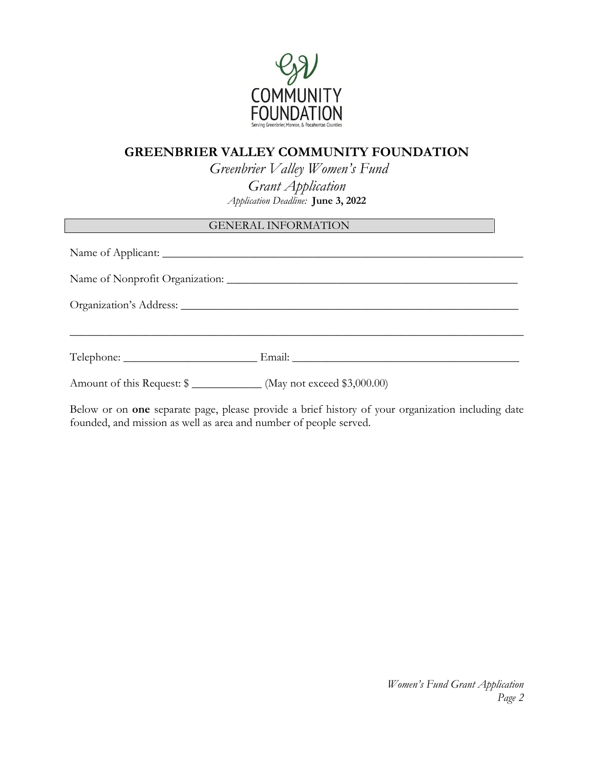

## **GREENBRIER VALLEY COMMUNITY FOUNDATION**

*Greenbrier Valley Women's Fund Grant Application Application Deadline:* **June 3, 2022**

## GENERAL INFORMATION

|                                                                       | Name of Nonprofit Organization: |  |
|-----------------------------------------------------------------------|---------------------------------|--|
|                                                                       |                                 |  |
|                                                                       | Telephone: Email: Email:        |  |
| Amount of this Request: \$ ______________ (May not exceed \$3,000.00) |                                 |  |

Below or on **one** separate page, please provide a brief history of your organization including date founded, and mission as well as area and number of people served.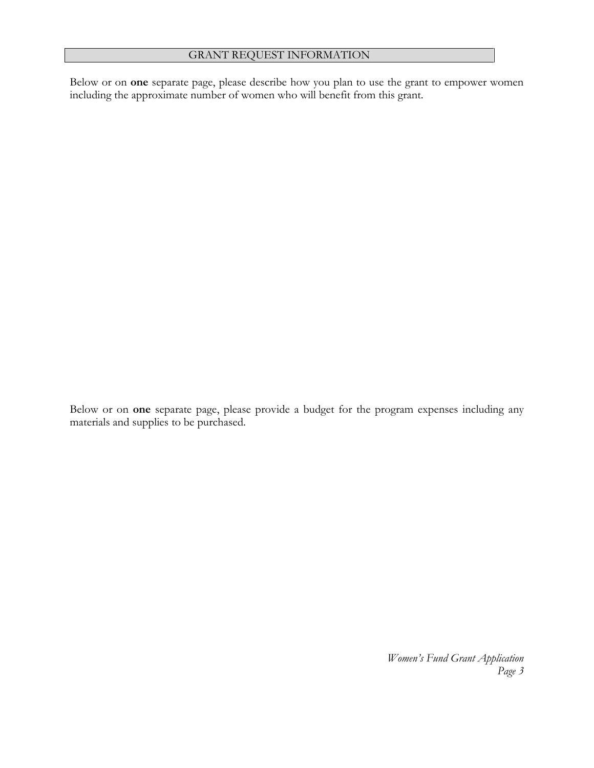#### GRANT REQUEST INFORMATION

Below or on **one** separate page, please describe how you plan to use the grant to empower women including the approximate number of women who will benefit from this grant.

Below or on **one** separate page, please provide a budget for the program expenses including any materials and supplies to be purchased.

> *Women's Fund Grant Application Page 3*